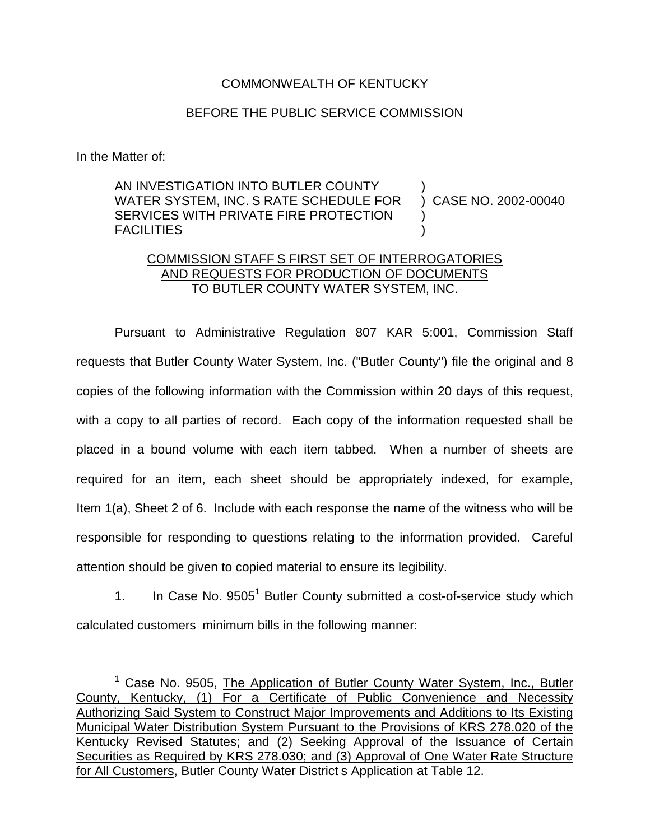## COMMONWEALTH OF KENTUCKY

## BEFORE THE PUBLIC SERVICE COMMISSION

In the Matter of:

AN INVESTIGATION INTO BUTLER COUNTY WATER SYSTEM, INC. S RATE SCHEDULE FOR SERVICES WITH PRIVATE FIRE PROTECTION **FACILITIES** ) ) CASE NO. 2002-00040 ) )

## COMMISSION STAFF S FIRST SET OF INTERROGATORIES AND REQUESTS FOR PRODUCTION OF DOCUMENTS TO BUTLER COUNTY WATER SYSTEM, INC.

Pursuant to Administrative Regulation 807 KAR 5:001, Commission Staff requests that Butler County Water System, Inc. ("Butler County") file the original and 8 copies of the following information with the Commission within 20 days of this request, with a copy to all parties of record. Each copy of the information requested shall be placed in a bound volume with each item tabbed. When a number of sheets are required for an item, each sheet should be appropriately indexed, for example, Item 1(a), Sheet 2 of 6. Include with each response the name of the witness who will be responsible for responding to questions relating to the information provided. Careful attention should be given to copied material to ensure its legibility.

1. In Case No.  $9505<sup>1</sup>$  Butler County submitted a cost-of-service study which calculated customers minimum bills in the following manner:

 $1$  Case No. 9505, The Application of Butler County Water System, Inc., Butler County, Kentucky, (1) For a Certificate of Public Convenience and Necessity Authorizing Said System to Construct Major Improvements and Additions to Its Existing Municipal Water Distribution System Pursuant to the Provisions of KRS 278.020 of the Kentucky Revised Statutes; and (2) Seeking Approval of the Issuance of Certain Securities as Required by KRS 278.030; and (3) Approval of One Water Rate Structure for All Customers, Butler County Water District s Application at Table 12.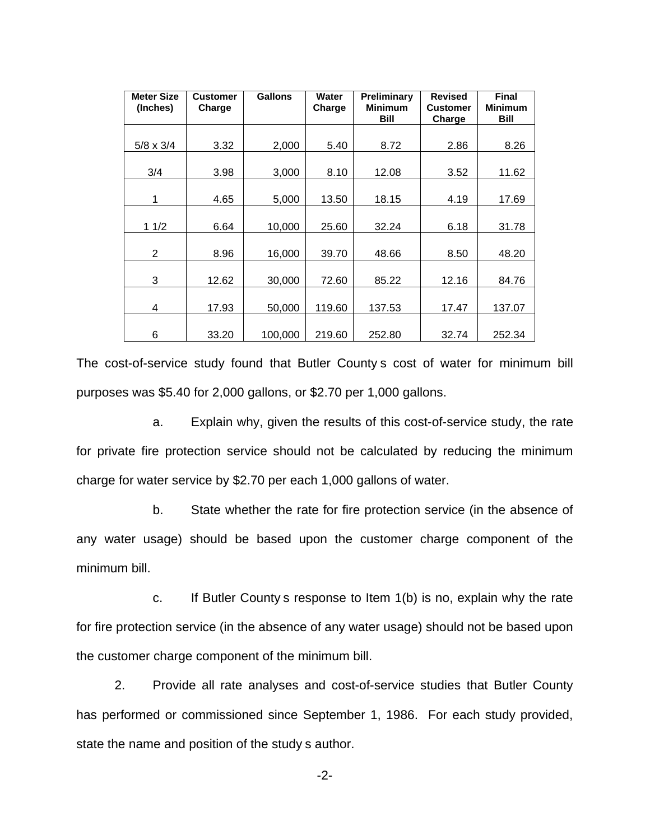| <b>Meter Size</b><br>(Inches) | <b>Customer</b><br>Charge | <b>Gallons</b> | Water<br>Charge | Preliminary<br><b>Minimum</b><br>Bill | <b>Revised</b><br><b>Customer</b><br>Charge | <b>Final</b><br><b>Minimum</b><br>Bill |
|-------------------------------|---------------------------|----------------|-----------------|---------------------------------------|---------------------------------------------|----------------------------------------|
| $5/8 \times 3/4$              | 3.32                      | 2,000          | 5.40            | 8.72                                  | 2.86                                        | 8.26                                   |
| 3/4                           | 3.98                      | 3,000          | 8.10            | 12.08                                 | 3.52                                        | 11.62                                  |
| 1                             | 4.65                      | 5,000          | 13.50           | 18.15                                 | 4.19                                        | 17.69                                  |
| 11/2                          | 6.64                      | 10,000         | 25.60           | 32.24                                 | 6.18                                        | 31.78                                  |
| 2                             | 8.96                      | 16,000         | 39.70           | 48.66                                 | 8.50                                        | 48.20                                  |
| 3                             | 12.62                     | 30,000         | 72.60           | 85.22                                 | 12.16                                       | 84.76                                  |
| 4                             | 17.93                     | 50,000         | 119.60          | 137.53                                | 17.47                                       | 137.07                                 |
| 6                             | 33.20                     | 100,000        | 219.60          | 252.80                                | 32.74                                       | 252.34                                 |

The cost-of-service study found that Butler County s cost of water for minimum bill purposes was \$5.40 for 2,000 gallons, or \$2.70 per 1,000 gallons.

a. Explain why, given the results of this cost-of-service study, the rate for private fire protection service should not be calculated by reducing the minimum charge for water service by \$2.70 per each 1,000 gallons of water.

b. State whether the rate for fire protection service (in the absence of any water usage) should be based upon the customer charge component of the minimum bill.

c. If Butler County s response to Item 1(b) is no, explain why the rate for fire protection service (in the absence of any water usage) should not be based upon the customer charge component of the minimum bill.

2. Provide all rate analyses and cost-of-service studies that Butler County has performed or commissioned since September 1, 1986. For each study provided, state the name and position of the study s author.

-2-